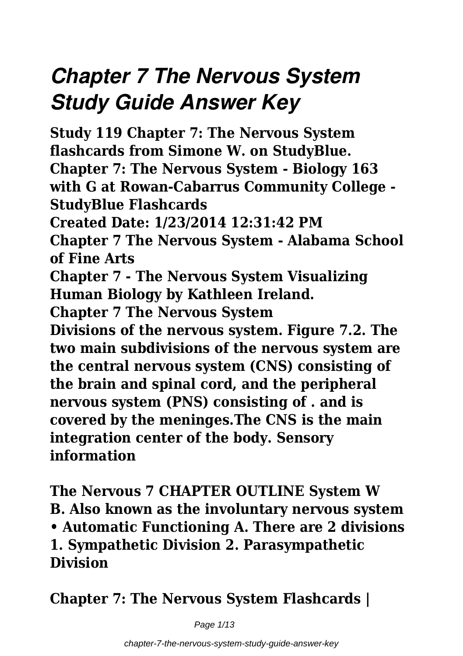# *Chapter 7 The Nervous System Study Guide Answer Key*

**Study 119 Chapter 7: The Nervous System flashcards from Simone W. on StudyBlue. Chapter 7: The Nervous System - Biology 163 with G at Rowan-Cabarrus Community College - StudyBlue Flashcards Created Date: 1/23/2014 12:31:42 PM Chapter 7 The Nervous System - Alabama School of Fine Arts Chapter 7 - The Nervous System Visualizing Human Biology by Kathleen Ireland. Chapter 7 The Nervous System Divisions of the nervous system. Figure 7.2. The two main subdivisions of the nervous system are the central nervous system (CNS) consisting of the brain and spinal cord, and the peripheral nervous system (PNS) consisting of . and is covered by the meninges.The CNS is the main integration center of the body. Sensory information**

**The Nervous 7 CHAPTER OUTLINE System W B. Also known as the involuntary nervous system • Automatic Functioning A. There are 2 divisions 1. Sympathetic Division 2. Parasympathetic Division**

**Chapter 7: The Nervous System Flashcards |**

Page 1/13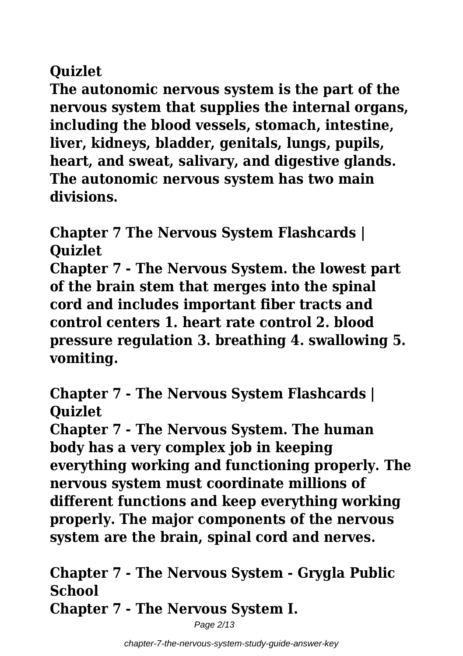# **Quizlet**

**The autonomic nervous system is the part of the nervous system that supplies the internal organs, including the blood vessels, stomach, intestine, liver, kidneys, bladder, genitals, lungs, pupils, heart, and sweat, salivary, and digestive glands. The autonomic nervous system has two main divisions.**

**Chapter 7 The Nervous System Flashcards | Quizlet**

**Chapter 7 - The Nervous System. the lowest part of the brain stem that merges into the spinal cord and includes important fiber tracts and control centers 1. heart rate control 2. blood pressure regulation 3. breathing 4. swallowing 5. vomiting.**

**Chapter 7 - The Nervous System Flashcards | Quizlet**

**Chapter 7 - The Nervous System. The human body has a very complex job in keeping everything working and functioning properly. The nervous system must coordinate millions of different functions and keep everything working properly. The major components of the nervous system are the brain, spinal cord and nerves.**

**Chapter 7 - The Nervous System - Grygla Public School Chapter 7 - The Nervous System I.**

Page 2/13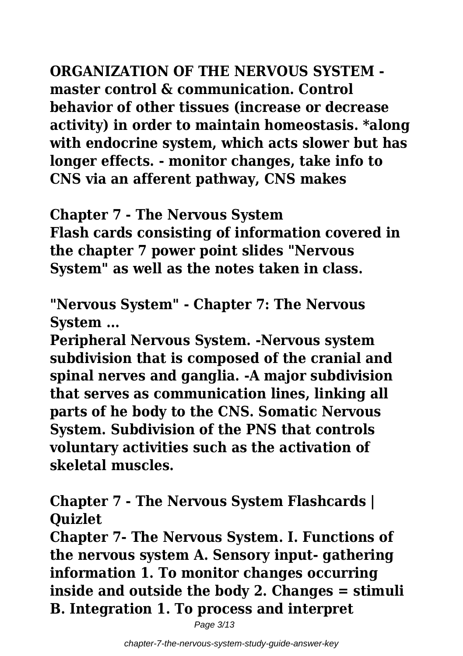**ORGANIZATION OF THE NERVOUS SYSTEM master control & communication. Control behavior of other tissues (increase or decrease activity) in order to maintain homeostasis. \*along with endocrine system, which acts slower but has longer effects. - monitor changes, take info to CNS via an afferent pathway, CNS makes**

**Chapter 7 - The Nervous System Flash cards consisting of information covered in the chapter 7 power point slides "Nervous System" as well as the notes taken in class.**

**"Nervous System" - Chapter 7: The Nervous System ...**

**Peripheral Nervous System. -Nervous system subdivision that is composed of the cranial and spinal nerves and ganglia. -A major subdivision that serves as communication lines, linking all parts of he body to the CNS. Somatic Nervous System. Subdivision of the PNS that controls voluntary activities such as the activation of skeletal muscles.**

**Chapter 7 - The Nervous System Flashcards | Quizlet**

**Chapter 7- The Nervous System. I. Functions of the nervous system A. Sensory input- gathering information 1. To monitor changes occurring inside and outside the body 2. Changes = stimuli B. Integration 1. To process and interpret**

Page 3/13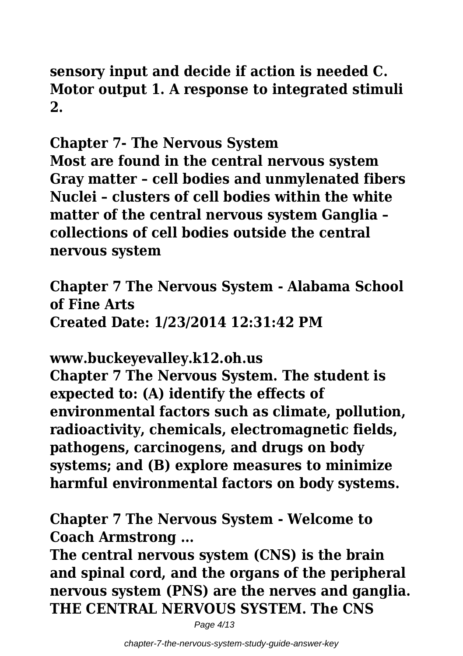# **sensory input and decide if action is needed C. Motor output 1. A response to integrated stimuli 2.**

**Chapter 7- The Nervous System**

**Most are found in the central nervous system Gray matter – cell bodies and unmylenated fibers Nuclei – clusters of cell bodies within the white matter of the central nervous system Ganglia – collections of cell bodies outside the central nervous system**

**Chapter 7 The Nervous System - Alabama School of Fine Arts Created Date: 1/23/2014 12:31:42 PM**

**www.buckeyevalley.k12.oh.us**

**Chapter 7 The Nervous System. The student is expected to: (A) identify the effects of environmental factors such as climate, pollution, radioactivity, chemicals, electromagnetic fields, pathogens, carcinogens, and drugs on body systems; and (B) explore measures to minimize harmful environmental factors on body systems.**

**Chapter 7 The Nervous System - Welcome to Coach Armstrong ...**

**The central nervous system (CNS) is the brain and spinal cord, and the organs of the peripheral nervous system (PNS) are the nerves and ganglia. THE CENTRAL NERVOUS SYSTEM. The CNS**

Page 4/13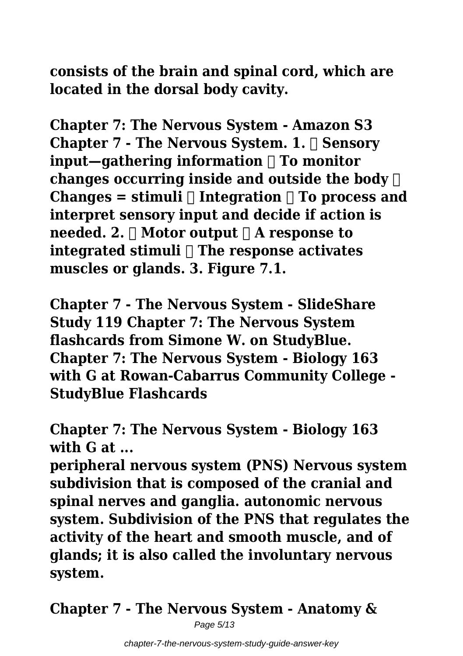**consists of the brain and spinal cord, which are located in the dorsal body cavity.**

**Chapter 7: The Nervous System - Amazon S3 Chapter 7 - The Nervous System. 1. Sensory input—gathering information To monitor changes occurring inside and outside the body Changes = stimuli**  $\Box$  **Integration**  $\Box$  **To process and interpret sensory input and decide if action is needed. 2.**  $\Box$  **Motor output**  $\Box$  **A** response to **integrated stimuli The response activates muscles or glands. 3. Figure 7.1.**

**Chapter 7 - The Nervous System - SlideShare Study 119 Chapter 7: The Nervous System flashcards from Simone W. on StudyBlue. Chapter 7: The Nervous System - Biology 163 with G at Rowan-Cabarrus Community College - StudyBlue Flashcards**

**Chapter 7: The Nervous System - Biology 163 with G at ...**

**peripheral nervous system (PNS) Nervous system subdivision that is composed of the cranial and spinal nerves and ganglia. autonomic nervous system. Subdivision of the PNS that regulates the activity of the heart and smooth muscle, and of glands; it is also called the involuntary nervous system.**

**Chapter 7 - The Nervous System - Anatomy &**

Page 5/13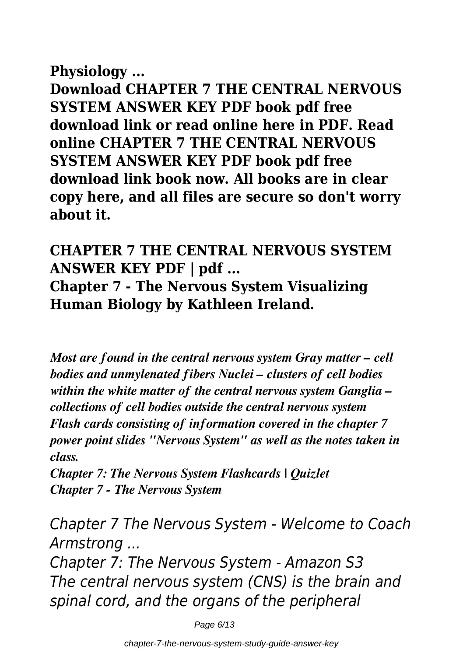### **Physiology ...**

**Download CHAPTER 7 THE CENTRAL NERVOUS SYSTEM ANSWER KEY PDF book pdf free download link or read online here in PDF. Read online CHAPTER 7 THE CENTRAL NERVOUS SYSTEM ANSWER KEY PDF book pdf free download link book now. All books are in clear copy here, and all files are secure so don't worry about it.**

# **CHAPTER 7 THE CENTRAL NERVOUS SYSTEM ANSWER KEY PDF | pdf ... Chapter 7 - The Nervous System Visualizing Human Biology by Kathleen Ireland.**

*Most are found in the central nervous system Gray matter – cell bodies and unmylenated fibers Nuclei – clusters of cell bodies within the white matter of the central nervous system Ganglia – collections of cell bodies outside the central nervous system Flash cards consisting of information covered in the chapter 7 power point slides "Nervous System" as well as the notes taken in class.*

*Chapter 7: The Nervous System Flashcards | Quizlet Chapter 7 - The Nervous System*

*Chapter 7 The Nervous System - Welcome to Coach Armstrong ...*

*Chapter 7: The Nervous System - Amazon S3 The central nervous system (CNS) is the brain and spinal cord, and the organs of the peripheral*

Page 6/13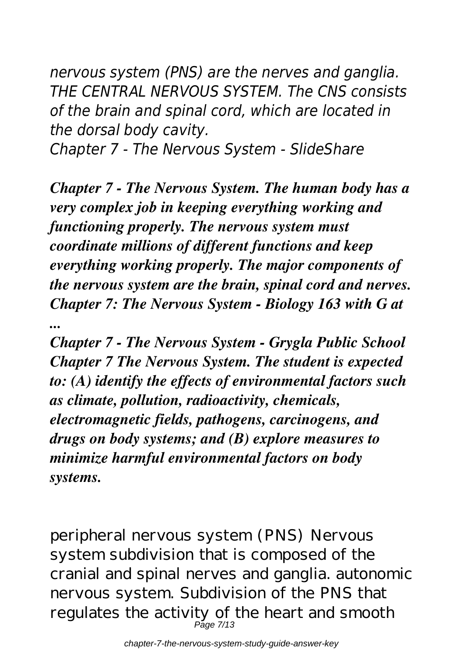*nervous system (PNS) are the nerves and ganglia. THE CENTRAL NERVOUS SYSTEM. The CNS consists of the brain and spinal cord, which are located in the dorsal body cavity.*

*Chapter 7 - The Nervous System - SlideShare*

*Chapter 7 - The Nervous System. The human body has a very complex job in keeping everything working and functioning properly. The nervous system must coordinate millions of different functions and keep everything working properly. The major components of the nervous system are the brain, spinal cord and nerves. Chapter 7: The Nervous System - Biology 163 with G at ...*

*Chapter 7 - The Nervous System - Grygla Public School Chapter 7 The Nervous System. The student is expected to: (A) identify the effects of environmental factors such as climate, pollution, radioactivity, chemicals, electromagnetic fields, pathogens, carcinogens, and drugs on body systems; and (B) explore measures to minimize harmful environmental factors on body systems.*

peripheral nervous system (PNS) Nervous system subdivision that is composed of the cranial and spinal nerves and ganglia. autonomic nervous system. Subdivision of the PNS that regulates the activity of the heart and smooth Page 7/13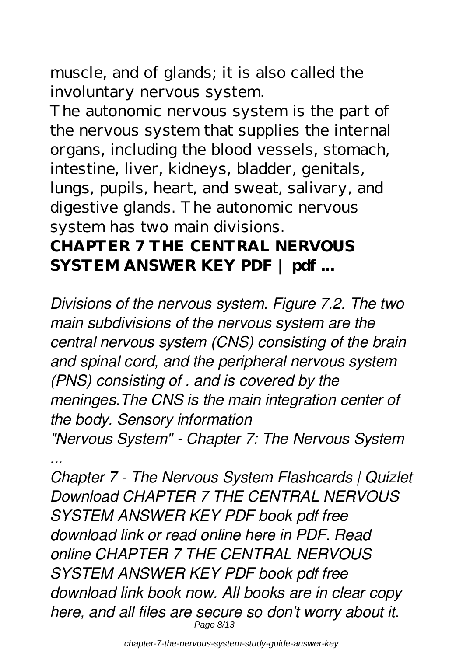muscle, and of glands; it is also called the involuntary nervous system.

The autonomic nervous system is the part of the nervous system that supplies the internal organs, including the blood vessels, stomach, intestine, liver, kidneys, bladder, genitals, lungs, pupils, heart, and sweat, salivary, and digestive glands. The autonomic nervous system has two main divisions.

# **CHAPTER 7 THE CENTRAL NERVOUS SYSTEM ANSWER KEY PDF | pdf ...**

*Divisions of the nervous system. Figure 7.2. The two main subdivisions of the nervous system are the central nervous system (CNS) consisting of the brain and spinal cord, and the peripheral nervous system (PNS) consisting of . and is covered by the meninges.The CNS is the main integration center of the body. Sensory information "Nervous System" - Chapter 7: The Nervous System*

*...*

*Chapter 7 - The Nervous System Flashcards | Quizlet Download CHAPTER 7 THE CENTRAL NERVOUS SYSTEM ANSWER KEY PDF book pdf free download link or read online here in PDF. Read online CHAPTER 7 THE CENTRAL NERVOUS SYSTEM ANSWER KEY PDF book pdf free download link book now. All books are in clear copy here, and all files are secure so don't worry about it.* Page 8/13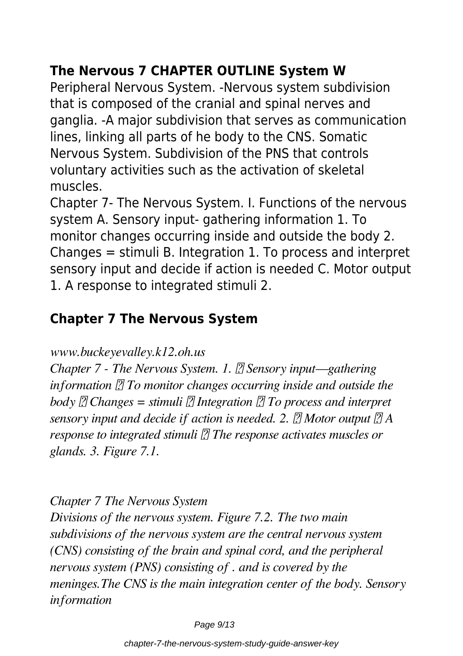# **The Nervous 7 CHAPTER OUTLINE System W**

Peripheral Nervous System. -Nervous system subdivision that is composed of the cranial and spinal nerves and ganglia. -A major subdivision that serves as communication lines, linking all parts of he body to the CNS. Somatic Nervous System. Subdivision of the PNS that controls voluntary activities such as the activation of skeletal muscles.

Chapter 7- The Nervous System. I. Functions of the nervous system A. Sensory input- gathering information 1. To monitor changes occurring inside and outside the body 2. Changes = stimuli B. Integration 1. To process and interpret sensory input and decide if action is needed C. Motor output 1. A response to integrated stimuli 2.

## **Chapter 7 The Nervous System**

*www.buckeyevalley.k12.oh.us*

*Chapter 7 - The Nervous System. 1. <sup>7</sup> Sensory input—gathering information T To monitor changes occurring inside and outside the body Changes = stimuli Integration To process and interpret sensory input and decide if action is needed. 2. Motor output A response to integrated stimuli The response activates muscles or glands. 3. Figure 7.1.*

*Chapter 7 The Nervous System*

*Divisions of the nervous system. Figure 7.2. The two main subdivisions of the nervous system are the central nervous system (CNS) consisting of the brain and spinal cord, and the peripheral nervous system (PNS) consisting of . and is covered by the meninges.The CNS is the main integration center of the body. Sensory information*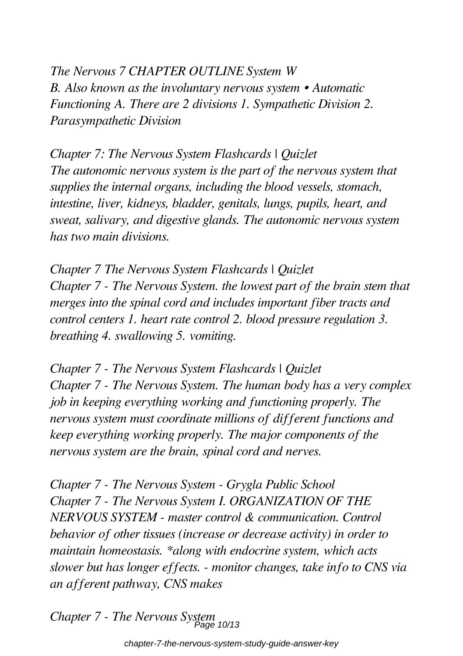*The Nervous 7 CHAPTER OUTLINE System W B. Also known as the involuntary nervous system • Automatic Functioning A. There are 2 divisions 1. Sympathetic Division 2. Parasympathetic Division*

*Chapter 7: The Nervous System Flashcards | Quizlet The autonomic nervous system is the part of the nervous system that supplies the internal organs, including the blood vessels, stomach, intestine, liver, kidneys, bladder, genitals, lungs, pupils, heart, and sweat, salivary, and digestive glands. The autonomic nervous system has two main divisions.*

*Chapter 7 The Nervous System Flashcards | Quizlet Chapter 7 - The Nervous System. the lowest part of the brain stem that merges into the spinal cord and includes important fiber tracts and control centers 1. heart rate control 2. blood pressure regulation 3. breathing 4. swallowing 5. vomiting.*

*Chapter 7 - The Nervous System Flashcards | Quizlet Chapter 7 - The Nervous System. The human body has a very complex job in keeping everything working and functioning properly. The nervous system must coordinate millions of different functions and keep everything working properly. The major components of the nervous system are the brain, spinal cord and nerves.*

*Chapter 7 - The Nervous System - Grygla Public School Chapter 7 - The Nervous System I. ORGANIZATION OF THE NERVOUS SYSTEM - master control & communication. Control behavior of other tissues (increase or decrease activity) in order to maintain homeostasis. \*along with endocrine system, which acts slower but has longer effects. - monitor changes, take info to CNS via an afferent pathway, CNS makes*

*Chapter 7 - The Nervous System*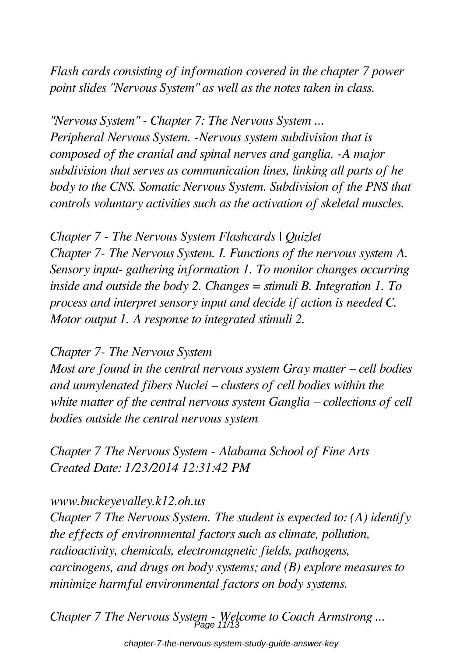*Flash cards consisting of information covered in the chapter 7 power point slides "Nervous System" as well as the notes taken in class.*

*"Nervous System" - Chapter 7: The Nervous System ... Peripheral Nervous System. -Nervous system subdivision that is composed of the cranial and spinal nerves and ganglia. -A major subdivision that serves as communication lines, linking all parts of he body to the CNS. Somatic Nervous System. Subdivision of the PNS that controls voluntary activities such as the activation of skeletal muscles.*

*Chapter 7 - The Nervous System Flashcards | Quizlet Chapter 7- The Nervous System. I. Functions of the nervous system A. Sensory input- gathering information 1. To monitor changes occurring inside and outside the body 2. Changes = stimuli B. Integration 1. To process and interpret sensory input and decide if action is needed C. Motor output 1. A response to integrated stimuli 2.*

### *Chapter 7- The Nervous System*

*Most are found in the central nervous system Gray matter – cell bodies and unmylenated fibers Nuclei – clusters of cell bodies within the white matter of the central nervous system Ganglia – collections of cell bodies outside the central nervous system*

*Chapter 7 The Nervous System - Alabama School of Fine Arts Created Date: 1/23/2014 12:31:42 PM*

### *www.buckeyevalley.k12.oh.us*

*Chapter 7 The Nervous System. The student is expected to: (A) identify the effects of environmental factors such as climate, pollution, radioactivity, chemicals, electromagnetic fields, pathogens, carcinogens, and drugs on body systems; and (B) explore measures to minimize harmful environmental factors on body systems.*

*Chapter 7 The Nervous System - Welcome to Coach Armstrong ...* Page 11/13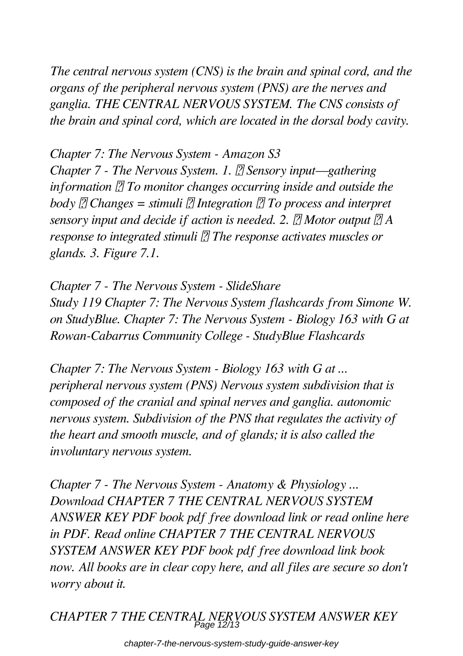*The central nervous system (CNS) is the brain and spinal cord, and the organs of the peripheral nervous system (PNS) are the nerves and ganglia. THE CENTRAL NERVOUS SYSTEM. The CNS consists of the brain and spinal cord, which are located in the dorsal body cavity.*

*Chapter 7: The Nervous System - Amazon S3 Chapter 7 - The Nervous System. 1. <sup>7</sup> Sensory input—gathering information To monitor changes occurring inside and outside the body Changes = stimuli Integration To process and interpret sensory input and decide if action is needed. 2. Motor output A response to integrated stimuli*  $\mathbb{Z}$  The response activates muscles or *glands. 3. Figure 7.1.*

*Chapter 7 - The Nervous System - SlideShare Study 119 Chapter 7: The Nervous System flashcards from Simone W. on StudyBlue. Chapter 7: The Nervous System - Biology 163 with G at Rowan-Cabarrus Community College - StudyBlue Flashcards*

*Chapter 7: The Nervous System - Biology 163 with G at ... peripheral nervous system (PNS) Nervous system subdivision that is composed of the cranial and spinal nerves and ganglia. autonomic nervous system. Subdivision of the PNS that regulates the activity of the heart and smooth muscle, and of glands; it is also called the involuntary nervous system.*

*Chapter 7 - The Nervous System - Anatomy & Physiology ... Download CHAPTER 7 THE CENTRAL NERVOUS SYSTEM ANSWER KEY PDF book pdf free download link or read online here in PDF. Read online CHAPTER 7 THE CENTRAL NERVOUS SYSTEM ANSWER KEY PDF book pdf free download link book now. All books are in clear copy here, and all files are secure so don't worry about it.*

*CHAPTER 7 THE CENTRAL NERVOUS SYSTEM ANSWER KEY* Page 12/13